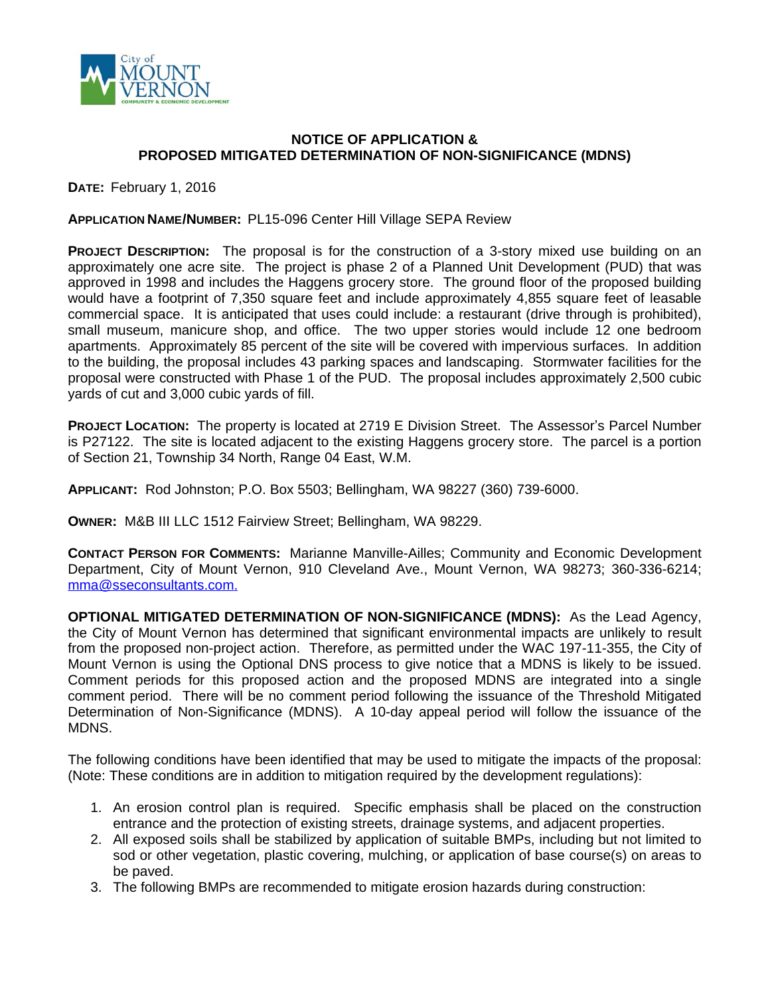

## **NOTICE OF APPLICATION & PROPOSED MITIGATED DETERMINATION OF NON-SIGNIFICANCE (MDNS)**

**DATE:** February 1, 2016

## **APPLICATION NAME/NUMBER:** PL15-096 Center Hill Village SEPA Review

**PROJECT DESCRIPTION:** The proposal is for the construction of a 3-story mixed use building on an approximately one acre site. The project is phase 2 of a Planned Unit Development (PUD) that was approved in 1998 and includes the Haggens grocery store. The ground floor of the proposed building would have a footprint of 7,350 square feet and include approximately 4,855 square feet of leasable commercial space. It is anticipated that uses could include: a restaurant (drive through is prohibited), small museum, manicure shop, and office. The two upper stories would include 12 one bedroom apartments. Approximately 85 percent of the site will be covered with impervious surfaces. In addition to the building, the proposal includes 43 parking spaces and landscaping. Stormwater facilities for the proposal were constructed with Phase 1 of the PUD. The proposal includes approximately 2,500 cubic yards of cut and 3,000 cubic yards of fill.

**PROJECT LOCATION:** The property is located at 2719 E Division Street. The Assessor's Parcel Number is P27122. The site is located adjacent to the existing Haggens grocery store. The parcel is a portion of Section 21, Township 34 North, Range 04 East, W.M.

**APPLICANT:** Rod Johnston; P.O. Box 5503; Bellingham, WA 98227 (360) 739-6000.

**OWNER:** M&B III LLC 1512 Fairview Street; Bellingham, WA 98229.

**CONTACT PERSON FOR COMMENTS:** Marianne Manville-Ailles; Community and Economic Development Department, City of Mount Vernon, 910 Cleveland Ave., Mount Vernon, WA 98273; 360-336-6214; [mma@sseconsultants.com](mailto:mma@sseconsultants.com).

**OPTIONAL MITIGATED DETERMINATION OF NON-SIGNIFICANCE (MDNS):** As the Lead Agency, the City of Mount Vernon has determined that significant environmental impacts are unlikely to result from the proposed non-project action. Therefore, as permitted under the WAC 197-11-355, the City of Mount Vernon is using the Optional DNS process to give notice that a MDNS is likely to be issued. Comment periods for this proposed action and the proposed MDNS are integrated into a single comment period. There will be no comment period following the issuance of the Threshold Mitigated Determination of Non-Significance (MDNS). A 10-day appeal period will follow the issuance of the MDNS.

The following conditions have been identified that may be used to mitigate the impacts of the proposal: (Note: These conditions are in addition to mitigation required by the development regulations):

- 1. An erosion control plan is required. Specific emphasis shall be placed on the construction entrance and the protection of existing streets, drainage systems, and adjacent properties.
- 2. All exposed soils shall be stabilized by application of suitable BMPs, including but not limited to sod or other vegetation, plastic covering, mulching, or application of base course(s) on areas to be paved.
- 3. The following BMPs are recommended to mitigate erosion hazards during construction: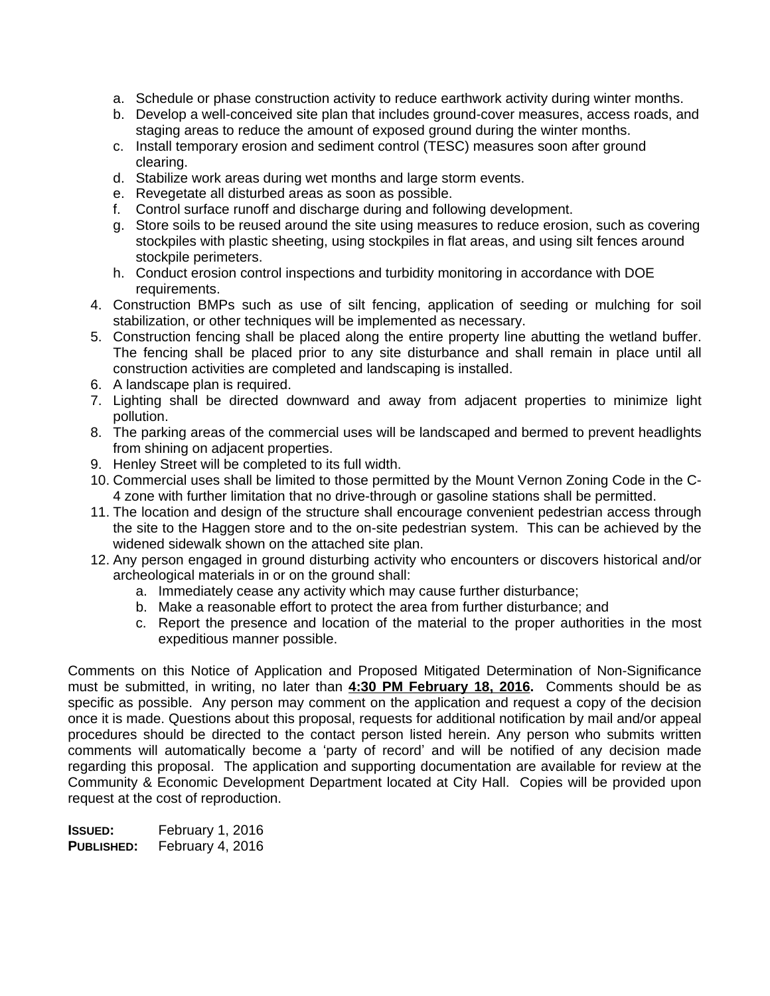- a. Schedule or phase construction activity to reduce earthwork activity during winter months.
- b. Develop a well-conceived site plan that includes ground-cover measures, access roads, and staging areas to reduce the amount of exposed ground during the winter months.
- c. Install temporary erosion and sediment control (TESC) measures soon after ground clearing.
- d. Stabilize work areas during wet months and large storm events.
- e. Revegetate all disturbed areas as soon as possible.
- f. Control surface runoff and discharge during and following development.
- g. Store soils to be reused around the site using measures to reduce erosion, such as covering stockpiles with plastic sheeting, using stockpiles in flat areas, and using silt fences around stockpile perimeters.
- h. Conduct erosion control inspections and turbidity monitoring in accordance with DOE requirements.
- 4. Construction BMPs such as use of silt fencing, application of seeding or mulching for soil stabilization, or other techniques will be implemented as necessary.
- 5. Construction fencing shall be placed along the entire property line abutting the wetland buffer. The fencing shall be placed prior to any site disturbance and shall remain in place until all construction activities are completed and landscaping is installed.
- 6. A landscape plan is required.
- 7. Lighting shall be directed downward and away from adjacent properties to minimize light pollution.
- 8. The parking areas of the commercial uses will be landscaped and bermed to prevent headlights from shining on adjacent properties.
- 9. Henley Street will be completed to its full width.
- 10. Commercial uses shall be limited to those permitted by the Mount Vernon Zoning Code in the C-4 zone with further limitation that no drive-through or gasoline stations shall be permitted.
- 11. The location and design of the structure shall encourage convenient pedestrian access through the site to the Haggen store and to the on-site pedestrian system. This can be achieved by the widened sidewalk shown on the attached site plan.
- 12. Any person engaged in ground disturbing activity who encounters or discovers historical and/or archeological materials in or on the ground shall:
	- a. Immediately cease any activity which may cause further disturbance;
	- b. Make a reasonable effort to protect the area from further disturbance; and
	- c. Report the presence and location of the material to the proper authorities in the most expeditious manner possible.

Comments on this Notice of Application and Proposed Mitigated Determination of Non-Significance must be submitted, in writing, no later than **4:30 PM February 18, 2016.** Comments should be as specific as possible. Any person may comment on the application and request a copy of the decision once it is made. Questions about this proposal, requests for additional notification by mail and/or appeal procedures should be directed to the contact person listed herein. Any person who submits written comments will automatically become a 'party of record' and will be notified of any decision made regarding this proposal. The application and supporting documentation are available for review at the Community & Economic Development Department located at City Hall. Copies will be provided upon request at the cost of reproduction.

| ISSUED:    | February 1, 2016 |
|------------|------------------|
| PUBLISHED: | February 4, 2016 |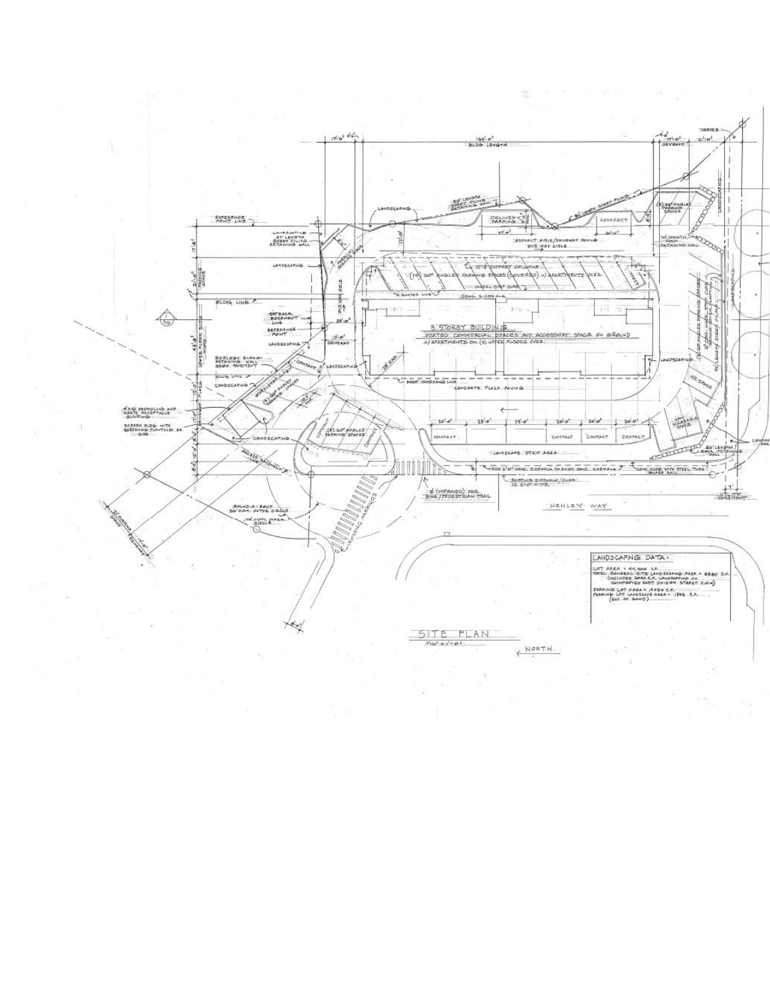